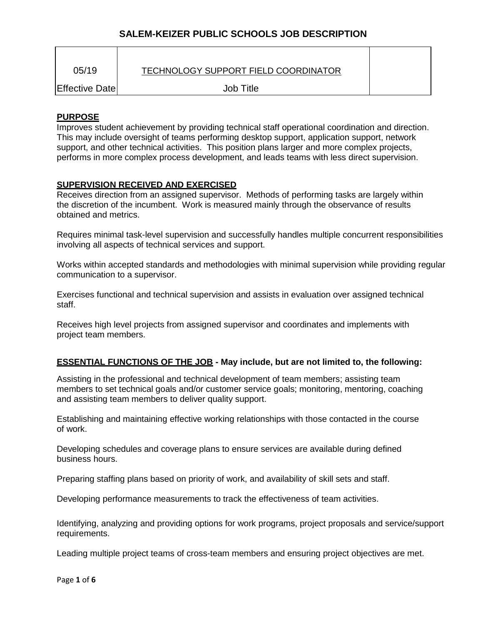| 05/19          | TECHNOLOGY SUPPORT FIELD COORDINATOR |  |
|----------------|--------------------------------------|--|
| Effective Date | Job Title                            |  |

## **PURPOSE**

Improves student achievement by providing technical staff operational coordination and direction. This may include oversight of teams performing desktop support, application support, network support, and other technical activities. This position plans larger and more complex projects, performs in more complex process development, and leads teams with less direct supervision.

### **SUPERVISION RECEIVED AND EXERCISED**

Receives direction from an assigned supervisor. Methods of performing tasks are largely within the discretion of the incumbent. Work is measured mainly through the observance of results obtained and metrics.

Requires minimal task-level supervision and successfully handles multiple concurrent responsibilities involving all aspects of technical services and support.

Works within accepted standards and methodologies with minimal supervision while providing regular communication to a supervisor.

Exercises functional and technical supervision and assists in evaluation over assigned technical staff.

Receives high level projects from assigned supervisor and coordinates and implements with project team members.

## **ESSENTIAL FUNCTIONS OF THE JOB - May include, but are not limited to, the following:**

Assisting in the professional and technical development of team members; assisting team members to set technical goals and/or customer service goals; monitoring, mentoring, coaching and assisting team members to deliver quality support.

Establishing and maintaining effective working relationships with those contacted in the course of work.

Developing schedules and coverage plans to ensure services are available during defined business hours.

Preparing staffing plans based on priority of work, and availability of skill sets and staff.

Developing performance measurements to track the effectiveness of team activities.

Identifying, analyzing and providing options for work programs, project proposals and service/support requirements.

Leading multiple project teams of cross-team members and ensuring project objectives are met.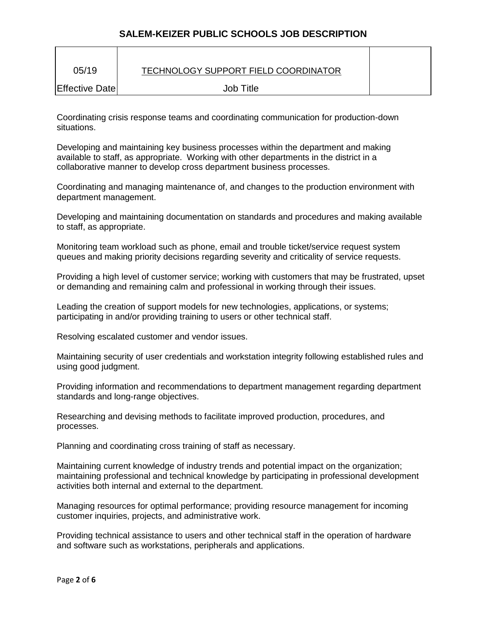| 05/19          | TECHNOLOGY SUPPORT FIELD COORDINATOR |  |
|----------------|--------------------------------------|--|
| Effective Date | Job Title                            |  |

Coordinating crisis response teams and coordinating communication for production-down situations.

Developing and maintaining key business processes within the department and making available to staff, as appropriate. Working with other departments in the district in a collaborative manner to develop cross department business processes.

Coordinating and managing maintenance of, and changes to the production environment with department management.

Developing and maintaining documentation on standards and procedures and making available to staff, as appropriate.

Monitoring team workload such as phone, email and trouble ticket/service request system queues and making priority decisions regarding severity and criticality of service requests.

Providing a high level of customer service; working with customers that may be frustrated, upset or demanding and remaining calm and professional in working through their issues.

Leading the creation of support models for new technologies, applications, or systems; participating in and/or providing training to users or other technical staff.

Resolving escalated customer and vendor issues.

Maintaining security of user credentials and workstation integrity following established rules and using good judgment.

Providing information and recommendations to department management regarding department standards and long-range objectives.

Researching and devising methods to facilitate improved production, procedures, and processes.

Planning and coordinating cross training of staff as necessary.

Maintaining current knowledge of industry trends and potential impact on the organization; maintaining professional and technical knowledge by participating in professional development activities both internal and external to the department.

Managing resources for optimal performance; providing resource management for incoming customer inquiries, projects, and administrative work.

Providing technical assistance to users and other technical staff in the operation of hardware and software such as workstations, peripherals and applications.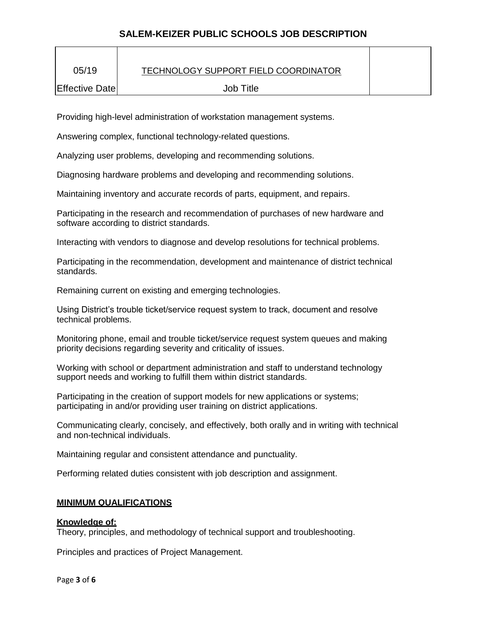| 05/19          | TECHNOLOGY SUPPORT FIELD COORDINATOR |  |
|----------------|--------------------------------------|--|
| Effective Date | Job Title                            |  |

Providing high-level administration of workstation management systems.

Answering complex, functional technology-related questions.

Analyzing user problems, developing and recommending solutions.

Diagnosing hardware problems and developing and recommending solutions.

Maintaining inventory and accurate records of parts, equipment, and repairs.

Participating in the research and recommendation of purchases of new hardware and software according to district standards.

Interacting with vendors to diagnose and develop resolutions for technical problems.

Participating in the recommendation, development and maintenance of district technical standards.

Remaining current on existing and emerging technologies.

Using District's trouble ticket/service request system to track, document and resolve technical problems.

Monitoring phone, email and trouble ticket/service request system queues and making priority decisions regarding severity and criticality of issues.

Working with school or department administration and staff to understand technology support needs and working to fulfill them within district standards.

Participating in the creation of support models for new applications or systems; participating in and/or providing user training on district applications.

Communicating clearly, concisely, and effectively, both orally and in writing with technical and non-technical individuals.

Maintaining regular and consistent attendance and punctuality.

Performing related duties consistent with job description and assignment.

## **MINIMUM QUALIFICATIONS**

### **Knowledge of:**

Theory, principles, and methodology of technical support and troubleshooting.

Principles and practices of Project Management.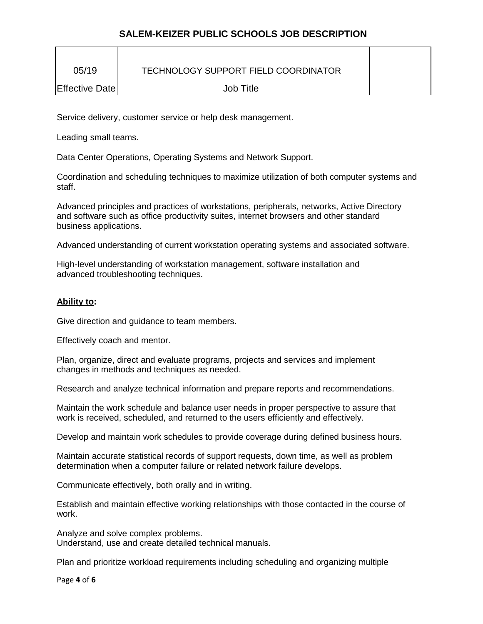| 05/19           | TECHNOLOGY SUPPORT FIELD COORDINATOR |  |
|-----------------|--------------------------------------|--|
| Effective Datel | <b>Job Title</b>                     |  |

Service delivery, customer service or help desk management.

Leading small teams.

Data Center Operations, Operating Systems and Network Support.

Coordination and scheduling techniques to maximize utilization of both computer systems and staff.

Advanced principles and practices of workstations, peripherals, networks, Active Directory and software such as office productivity suites, internet browsers and other standard business applications.

Advanced understanding of current workstation operating systems and associated software.

High-level understanding of workstation management, software installation and advanced troubleshooting techniques.

### **Ability to:**

Give direction and guidance to team members.

Effectively coach and mentor.

Plan, organize, direct and evaluate programs, projects and services and implement changes in methods and techniques as needed.

Research and analyze technical information and prepare reports and recommendations.

Maintain the work schedule and balance user needs in proper perspective to assure that work is received, scheduled, and returned to the users efficiently and effectively.

Develop and maintain work schedules to provide coverage during defined business hours.

Maintain accurate statistical records of support requests, down time, as well as problem determination when a computer failure or related network failure develops.

Communicate effectively, both orally and in writing.

Establish and maintain effective working relationships with those contacted in the course of work.

Analyze and solve complex problems. Understand, use and create detailed technical manuals.

Plan and prioritize workload requirements including scheduling and organizing multiple

Page **4** of **6**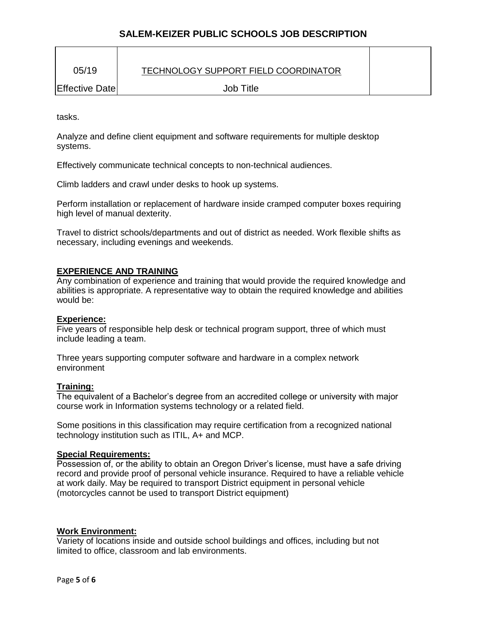| 05/19          | TECHNOLOGY SUPPORT FIELD COORDINATOR |  |
|----------------|--------------------------------------|--|
| Effective Date | Job Title                            |  |

tasks.

Analyze and define client equipment and software requirements for multiple desktop systems.

Effectively communicate technical concepts to non-technical audiences.

Climb ladders and crawl under desks to hook up systems.

Perform installation or replacement of hardware inside cramped computer boxes requiring high level of manual dexterity.

Travel to district schools/departments and out of district as needed. Work flexible shifts as necessary, including evenings and weekends.

#### **EXPERIENCE AND TRAINING**

Any combination of experience and training that would provide the required knowledge and abilities is appropriate. A representative way to obtain the required knowledge and abilities would be:

#### **Experience:**

Five years of responsible help desk or technical program support, three of which must include leading a team.

Three years supporting computer software and hardware in a complex network environment

#### **Training:**

The equivalent of a Bachelor's degree from an accredited college or university with major course work in Information systems technology or a related field.

Some positions in this classification may require certification from a recognized national technology institution such as ITIL, A+ and MCP.

#### **Special Requirements:**

Possession of, or the ability to obtain an Oregon Driver's license, must have a safe driving record and provide proof of personal vehicle insurance. Required to have a reliable vehicle at work daily. May be required to transport District equipment in personal vehicle (motorcycles cannot be used to transport District equipment)

### **Work Environment:**

Variety of locations inside and outside school buildings and offices, including but not limited to office, classroom and lab environments.